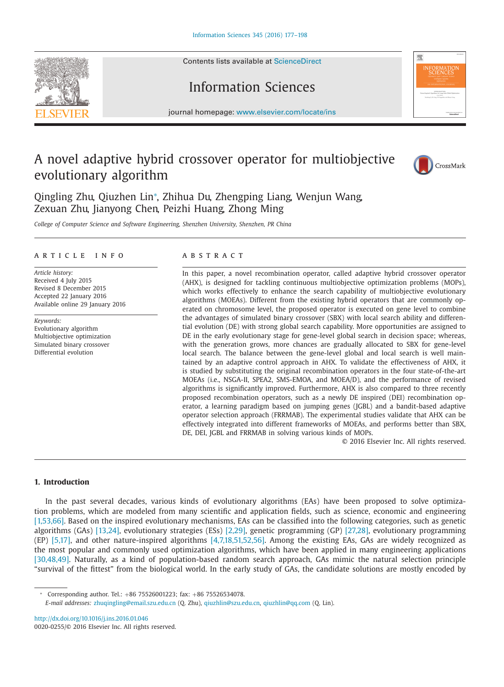Contents lists available at [ScienceDirect](http://www.ScienceDirect.com)

# Information Sciences

journal homepage: [www.elsevier.com/locate/ins](http://www.elsevier.com/locate/ins)

### A novel adaptive hybrid crossover operator for multiobjective evolutionary algorithm



Qingling Zhu, Qiuzhen Lin<sup>∗</sup> , Zhihua Du, Zhengping Liang, Wenjun Wang, Zexuan Zhu, Jianyong Chen, Peizhi Huang, Zhong Ming

*College of Computer Science and Software Engineering, Shenzhen University, Shenzhen, PR China*

#### article info

*Article history:* Received 4 July 2015 Revised 8 December 2015 Accepted 22 January 2016 Available online 29 January 2016

*Keywords:* Evolutionary algorithm Multiobjective optimization Simulated binary crossover Differential evolution

#### **ABSTRACT**

In this paper, a novel recombination operator, called adaptive hybrid crossover operator (AHX), is designed for tackling continuous multiobjective optimization problems (MOPs), which works effectively to enhance the search capability of multiobjective evolutionary algorithms (MOEAs). Different from the existing hybrid operators that are commonly operated on chromosome level, the proposed operator is executed on gene level to combine the advantages of simulated binary crossover (SBX) with local search ability and differential evolution (DE) with strong global search capability. More opportunities are assigned to DE in the early evolutionary stage for gene-level global search in decision space; whereas, with the generation grows, more chances are gradually allocated to SBX for gene-level local search. The balance between the gene-level global and local search is well maintained by an adaptive control approach in AHX. To validate the effectiveness of AHX, it is studied by substituting the original recombination operators in the four state-of-the-art MOEAs (i.e., NSGA-II, SPEA2, SMS-EMOA, and MOEA/D), and the performance of revised algorithms is significantly improved. Furthermore, AHX is also compared to three recently proposed recombination operators, such as a newly DE inspired (DEI) recombination operator, a learning paradigm based on jumping genes (JGBL) and a bandit-based adaptive operator selection approach (FRRMAB). The experimental studies validate that AHX can be effectively integrated into different frameworks of MOEAs, and performs better than SBX, DE, DEI, JGBL and FRRMAB in solving various kinds of MOPs.

© 2016 Elsevier Inc. All rights reserved.

### **1. Introduction**

In the past several decades, various kinds of evolutionary algorithms (EAs) have been proposed to solve optimization problems, which are modeled from many scientific and application fields, such as science, economic and engineering [\[1,53,66\].](#page--1-0) Based on the inspired evolutionary mechanisms, EAs can be classified into the following categories, such as genetic algorithms (GAs) [\[13,24\],](#page--1-0) evolutionary strategies (ESs) [\[2,29\],](#page--1-0) genetic programming (GP) [\[27,28\],](#page--1-0) evolutionary programming (EP) [\[5,17\],](#page--1-0) and other nature-inspired algorithms [\[4,7,18,51,52,56\].](#page--1-0) Among the existing EAs, GAs are widely recognized as the most popular and commonly used optimization algorithms, which have been applied in many engineering applications [\[30,48,49\].](#page--1-0) Naturally, as a kind of population-based random search approach, GAs mimic the natural selection principle "survival of the fittest" from the biological world. In the early study of GAs, the candidate solutions are mostly encoded by

<sup>∗</sup> Corresponding author. Tel.: +86 75526001223; fax: +86 75526534078.

*E-mail addresses:* [zhuqingling@email.szu.edu.cn](mailto:zhuqingling@email.szu.edu.cn) (Q. Zhu), [qiuzhlin@szu.edu.cn,](mailto:qiuzhlin@szu.edu.cn) [qiuzhlin@qq.com](mailto:qiuzhlin@qq.com) (Q. Lin).

<http://dx.doi.org/10.1016/j.ins.2016.01.046> 0020-0255/© 2016 Elsevier Inc. All rights reserved.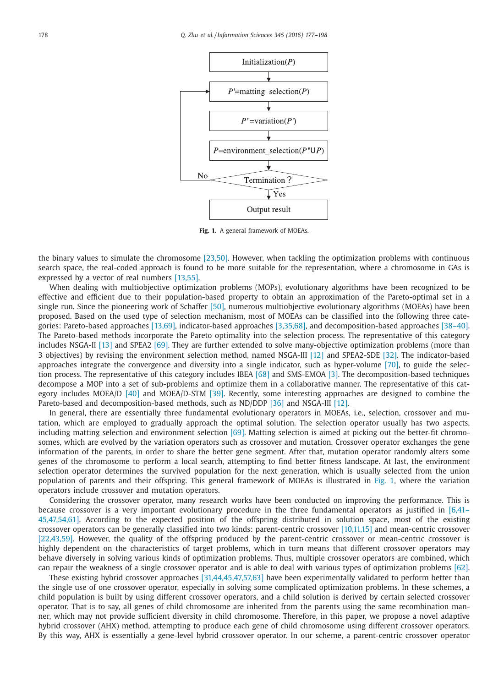

**Fig. 1.** A general framework of MOEAs.

the binary values to simulate the chromosome [\[23,50\].](#page--1-0) However, when tackling the optimization problems with continuous search space, the real-coded approach is found to be more suitable for the representation, where a chromosome in GAs is expressed by a vector of real numbers [\[13,55\].](#page--1-0)

When dealing with multiobjective optimization problems (MOPs), evolutionary algorithms have been recognized to be effective and efficient due to their population-based property to obtain an approximation of the Pareto-optimal set in a single run. Since the pioneering work of Schaffer [\[50\],](#page--1-0) numerous multiobjective evolutionary algorithms (MOEAs) have been proposed. Based on the used type of selection mechanism, most of MOEAs can be classified into the following three categories: Pareto-based approaches [\[13,69\],](#page--1-0) indicator-based approaches [\[3,35,68\],](#page--1-0) and decomposition-based approaches [\[38–40\].](#page--1-0) The Pareto-based methods incorporate the Pareto optimality into the selection process. The representative of this category includes NSGA-II [\[13\]](#page--1-0) and SPEA2 [\[69\].](#page--1-0) They are further extended to solve many-objective optimization problems (more than 3 objectives) by revising the environment selection method, named NSGA-III [\[12\]](#page--1-0) and SPEA2-SDE [\[32\].](#page--1-0) The indicator-based approaches integrate the convergence and diversity into a single indicator, such as hyper-volume [\[70\],](#page--1-0) to guide the selection process. The representative of this category includes IBEA [\[68\]](#page--1-0) and SMS-EMOA [\[3\].](#page--1-0) The decomposition-based techniques decompose a MOP into a set of sub-problems and optimize them in a collaborative manner. The representative of this category includes MOEA/D [\[40\]](#page--1-0) and MOEA/D-STM [\[39\].](#page--1-0) Recently, some interesting approaches are designed to combine the Pareto-based and decomposition-based methods, such as ND/DDP [\[36\]](#page--1-0) and NSGA-III [\[12\].](#page--1-0)

In general, there are essentially three fundamental evolutionary operators in MOEAs, i.e., selection, crossover and mutation, which are employed to gradually approach the optimal solution. The selection operator usually has two aspects, including matting selection and environment selection  $[69]$ . Matting selection is aimed at picking out the better-fit chromosomes, which are evolved by the variation operators such as crossover and mutation. Crossover operator exchanges the gene information of the parents, in order to share the better gene segment. After that, mutation operator randomly alters some genes of the chromosome to perform a local search, attempting to find better fitness landscape. At last, the environment selection operator determines the survived population for the next generation, which is usually selected from the union population of parents and their offspring. This general framework of MOEAs is illustrated in Fig. 1, where the variation operators include crossover and mutation operators.

Considering the crossover operator, many research works have been conducted on improving the performance. This is because crossover is a very important evolutionary procedure in the three fundamental operators as justified in [6,41-[45,47,54,61\]. According to the expected position of the offspring distributed in solution space, most of the existing](#page--1-0) crossover operators can be generally classified into two kinds: parent-centric crossover [\[10,11,15\]](#page--1-0) and mean-centric crossover [\[22,43,59\].](#page--1-0) However, the quality of the offspring produced by the parent-centric crossover or mean-centric crossover is highly dependent on the characteristics of target problems, which in turn means that different crossover operators may behave diversely in solving various kinds of optimization problems. Thus, multiple crossover operators are combined, which can repair the weakness of a single crossover operator and is able to deal with various types of optimization problems [\[62\].](#page--1-0)

These existing hybrid crossover approaches [\[31,44,45,47,57,63\]](#page--1-0) have been experimentally validated to perform better than the single use of one crossover operator, especially in solving some complicated optimization problems. In these schemes, a child population is built by using different crossover operators, and a child solution is derived by certain selected crossover operator. That is to say, all genes of child chromosome are inherited from the parents using the same recombination manner, which may not provide sufficient diversity in child chromosome. Therefore, in this paper, we propose a novel adaptive hybrid crossover (AHX) method, attempting to produce each gene of child chromosome using different crossover operators. By this way, AHX is essentially a gene-level hybrid crossover operator. In our scheme, a parent-centric crossover operator